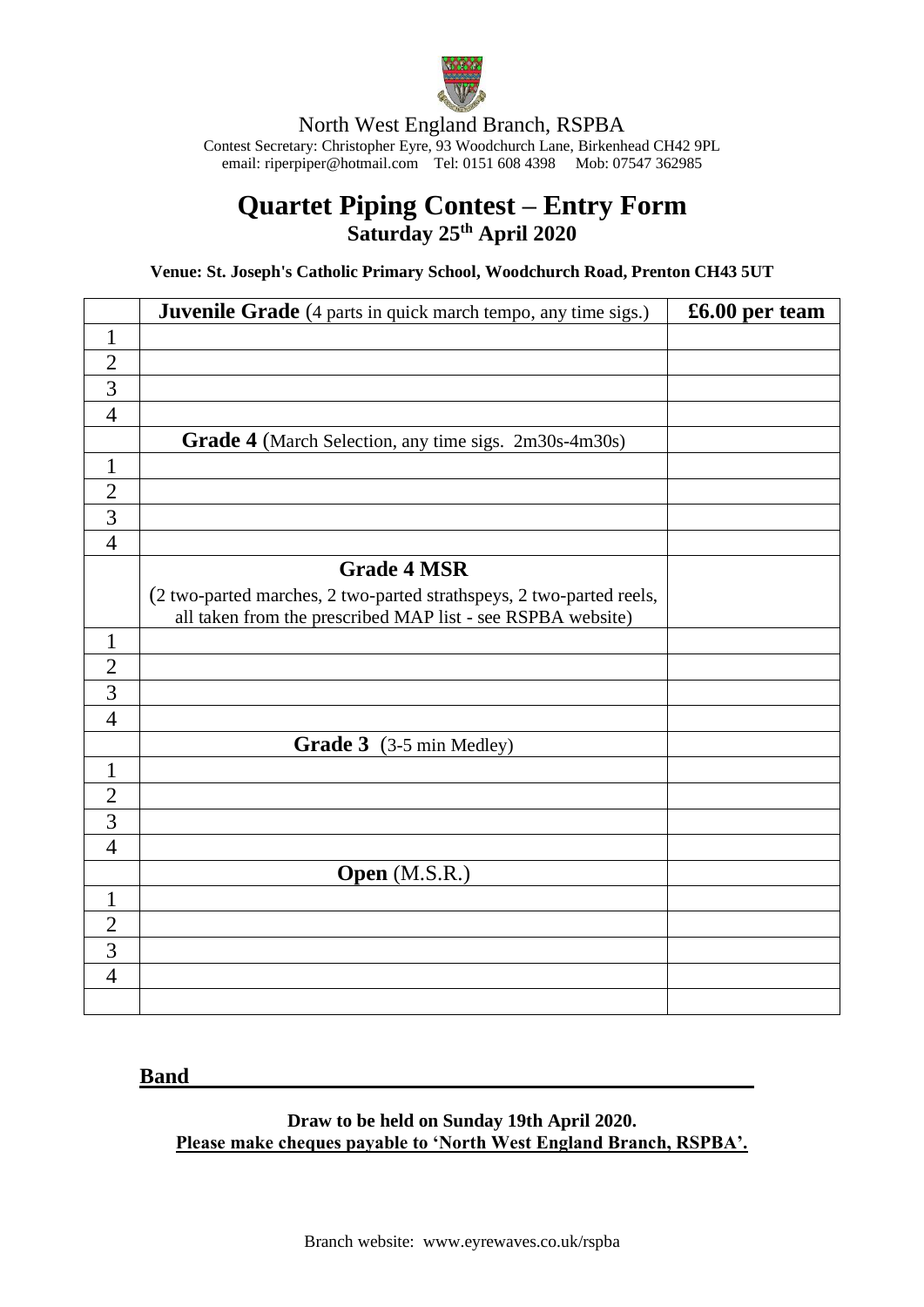

North West England Branch, RSPBA Contest Secretary: Christopher Eyre, 93 Woodchurch Lane, Birkenhead CH42 9PL email[: riperpiper@hotmail.com](mailto:riperpiper@hotmail.com) Tel: 0151 608 4398 Mob: 07547 362985

## **Quartet Piping Contest – Entry Form Saturday 25 th April 2020**

**Venue: St. Joseph's Catholic Primary School, Woodchurch Road, Prenton CH43 5UT**

|                | <b>Juvenile Grade</b> (4 parts in quick march tempo, any time sigs.) | £6.00 per team |
|----------------|----------------------------------------------------------------------|----------------|
| $\mathbf{1}$   |                                                                      |                |
| $\overline{2}$ |                                                                      |                |
| $\overline{3}$ |                                                                      |                |
| $\overline{4}$ |                                                                      |                |
|                | Grade 4 (March Selection, any time sigs. 2m30s-4m30s)                |                |
| $\mathbf{1}$   |                                                                      |                |
| $\overline{2}$ |                                                                      |                |
| $\overline{3}$ |                                                                      |                |
| $\overline{4}$ |                                                                      |                |
|                | <b>Grade 4 MSR</b>                                                   |                |
|                | (2 two-parted marches, 2 two-parted strathspeys, 2 two-parted reels, |                |
|                | all taken from the prescribed MAP list - see RSPBA website)          |                |
| $\mathbf{1}$   |                                                                      |                |
| $\overline{2}$ |                                                                      |                |
| $\overline{3}$ |                                                                      |                |
| $\overline{4}$ |                                                                      |                |
|                | Grade 3 (3-5 min Medley)                                             |                |
| $\mathbf{1}$   |                                                                      |                |
| $\overline{2}$ |                                                                      |                |
| $\overline{3}$ |                                                                      |                |
| $\overline{4}$ |                                                                      |                |
|                | Open (M.S.R.)                                                        |                |
| $\mathbf{1}$   |                                                                      |                |
| $\overline{2}$ |                                                                      |                |
| $\overline{3}$ |                                                                      |                |
| $\overline{4}$ |                                                                      |                |
|                |                                                                      |                |

## **Band**

**Draw to be held on Sunday 19th April 2020. Please make cheques payable to 'North West England Branch, RSPBA'.**